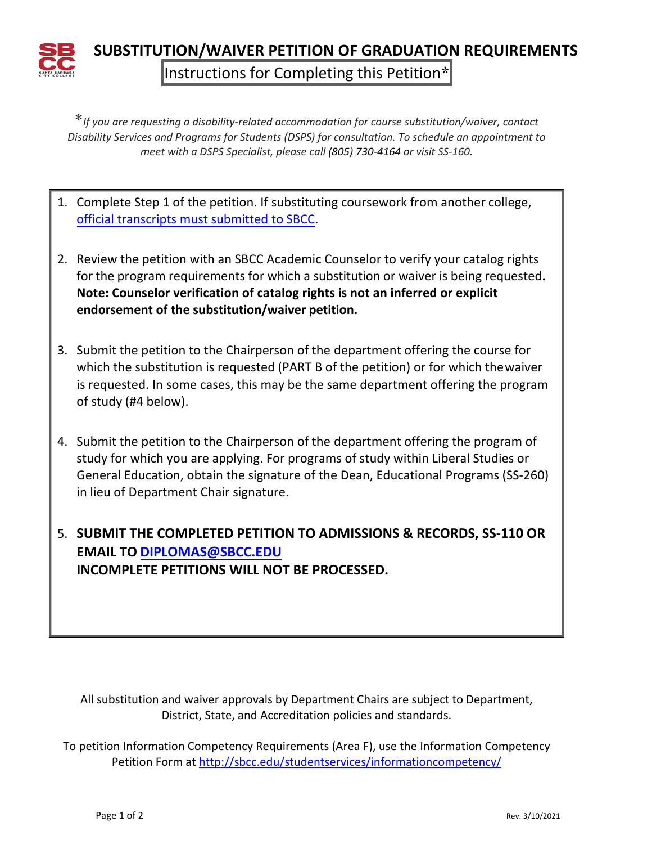

**SUBSTITUTION/WAIVER PETITION OF GRADUATION REQUIREMENTS** Instructions for Completing this Petition**\***

\**If you are requesting a disability-related accommodation for course substitution/waiver, contact Disability Services and Programs for Students (DSPS) for consultation. To schedule an appointment to meet with a DSPS Specialist, please call (805) 730-4164 or visit SS-160.*

- 1. Complete Step 1 of the petition. If substituting coursework from another college, official [transcripts must submitted](http://sbcc.edu/transcripts/incomingtranscripts.php) to SBCC.
- 2. Review the petition with an SBCC Academic Counselor to verify your catalog rights for the program requirements for which a substitution or waiver is being requested**. Note: Counselor verification of catalog rights is not an inferred or explicit endorsement of the substitution/waiver petition.**
- 3. Submit the petition to the Chairperson of the department offering the course for which the substitution is requested (PART B of the petition) or for which thewaiver is requested. In some cases, this may be the same department offering the program of study (#4 below).
- 4. Submit the petition to the Chairperson of the department offering the program of study for which you are applying. For programs of study within Liberal Studies or General Education, obtain the signature of the Dean, Educational Programs (SS-260) in lieu of Department Chair signature.

5. **SUBMIT THE COMPLETED PETITION TO ADMISSIONS & RECORDS, SS-110 OR EMAIL TO DI[PLOMAS@SBCC.EDU](mailto:DIPLOMAS@SBCC.EDU) INCOMPLETE PETITIONS WILL NOT BE PROCESSED.**

All substitution and waiver approvals by Department Chairs are subject to Department, District, State, and Accreditation policies and standards.

To petition Information Competency Requirements (Area F), use the Information Competency Petition Form at<http://sbcc.edu/studentservices/informationcompetency/>